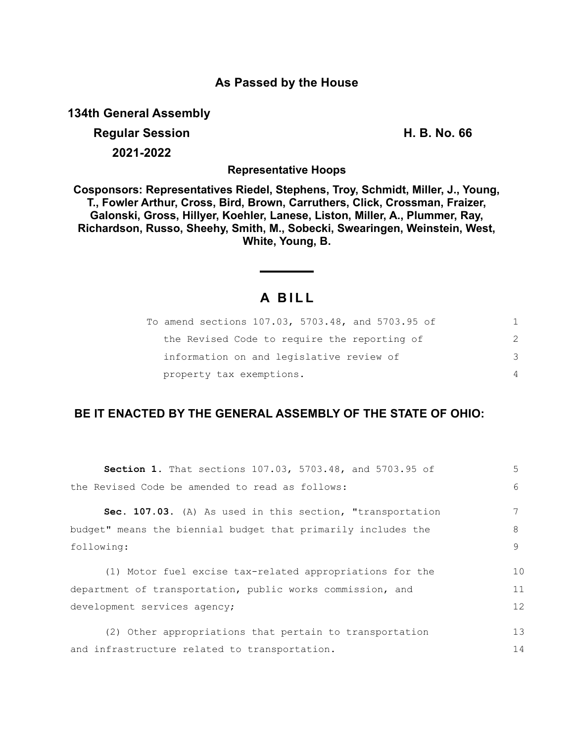### **As Passed by the House**

**134th General Assembly**

**Regular Session H. B. No. 66 2021-2022**

**Representative Hoops**

**Cosponsors: Representatives Riedel, Stephens, Troy, Schmidt, Miller, J., Young, T., Fowler Arthur, Cross, Bird, Brown, Carruthers, Click, Crossman, Fraizer, Galonski, Gross, Hillyer, Koehler, Lanese, Liston, Miller, A., Plummer, Ray, Richardson, Russo, Sheehy, Smith, M., Sobecki, Swearingen, Weinstein, West, White, Young, B.**

# **A B I L L**

| To amend sections 107.03, 5703.48, and 5703.95 of | 1.            |
|---------------------------------------------------|---------------|
| the Revised Code to require the reporting of      | $\mathcal{P}$ |
| information on and legislative review of          | 3             |
| property tax exemptions.                          | 4             |

## **BE IT ENACTED BY THE GENERAL ASSEMBLY OF THE STATE OF OHIO:**

| Section 1. That sections 107.03, 5703.48, and 5703.95 of      | 5  |
|---------------------------------------------------------------|----|
| the Revised Code be amended to read as follows:               | 6  |
| Sec. 107.03. (A) As used in this section, "transportation     |    |
| budget" means the biennial budget that primarily includes the | 8  |
| following:                                                    | 9  |
| (1) Motor fuel excise tax-related appropriations for the      | 10 |
| department of transportation, public works commission, and    | 11 |
| development services agency;                                  | 12 |
| (2) Other appropriations that pertain to transportation       | 13 |
| and infrastructure related to transportation.                 | 14 |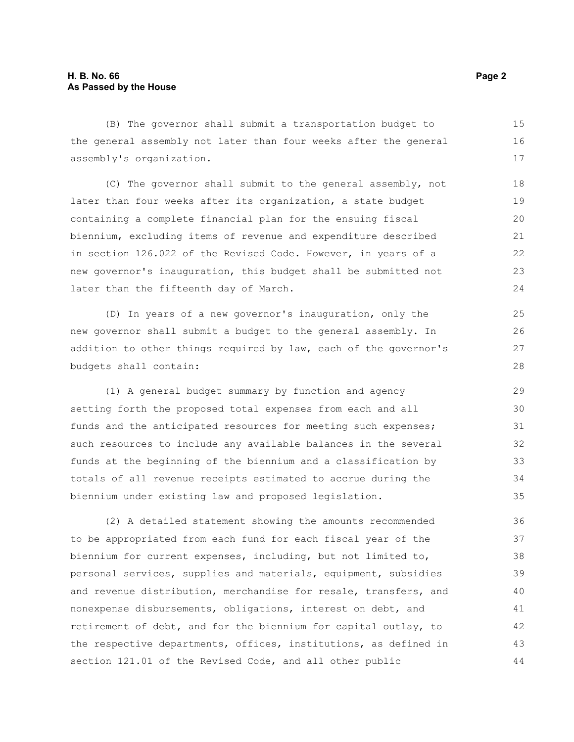(B) The governor shall submit a transportation budget to the general assembly not later than four weeks after the general assembly's organization. 15 16 17

(C) The governor shall submit to the general assembly, not later than four weeks after its organization, a state budget containing a complete financial plan for the ensuing fiscal biennium, excluding items of revenue and expenditure described in section 126.022 of the Revised Code. However, in years of a new governor's inauguration, this budget shall be submitted not later than the fifteenth day of March.

(D) In years of a new governor's inauguration, only the new governor shall submit a budget to the general assembly. In addition to other things required by law, each of the governor's budgets shall contain:

(1) A general budget summary by function and agency setting forth the proposed total expenses from each and all funds and the anticipated resources for meeting such expenses; such resources to include any available balances in the several funds at the beginning of the biennium and a classification by totals of all revenue receipts estimated to accrue during the biennium under existing law and proposed legislation.

(2) A detailed statement showing the amounts recommended to be appropriated from each fund for each fiscal year of the biennium for current expenses, including, but not limited to, personal services, supplies and materials, equipment, subsidies and revenue distribution, merchandise for resale, transfers, and nonexpense disbursements, obligations, interest on debt, and retirement of debt, and for the biennium for capital outlay, to the respective departments, offices, institutions, as defined in section 121.01 of the Revised Code, and all other public 36 37 38 39 40 41 42 43 44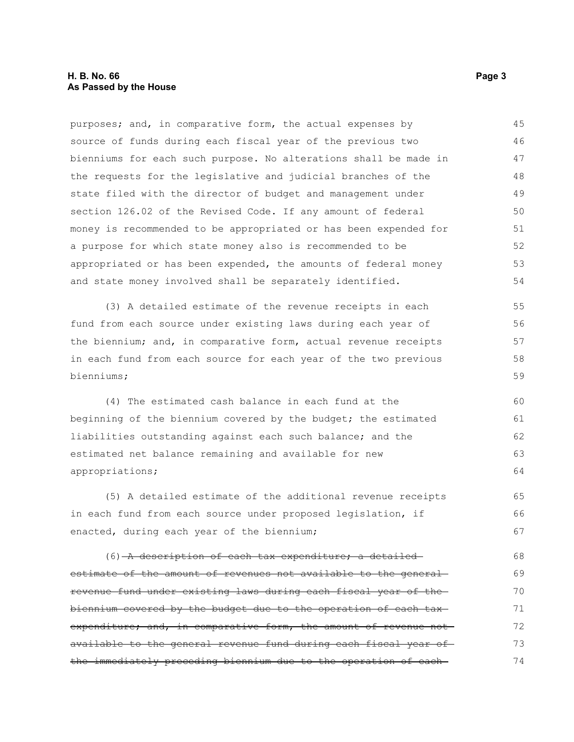#### **H. B. No. 66 Page 3 As Passed by the House**

purposes; and, in comparative form, the actual expenses by source of funds during each fiscal year of the previous two bienniums for each such purpose. No alterations shall be made in the requests for the legislative and judicial branches of the state filed with the director of budget and management under section 126.02 of the Revised Code. If any amount of federal money is recommended to be appropriated or has been expended for a purpose for which state money also is recommended to be appropriated or has been expended, the amounts of federal money and state money involved shall be separately identified. 45 46 47 48 49 50 51 52 53 54

(3) A detailed estimate of the revenue receipts in each fund from each source under existing laws during each year of the biennium; and, in comparative form, actual revenue receipts in each fund from each source for each year of the two previous bienniums; 55 56 57 58 59

(4) The estimated cash balance in each fund at the beginning of the biennium covered by the budget; the estimated liabilities outstanding against each such balance; and the estimated net balance remaining and available for new appropriations;

(5) A detailed estimate of the additional revenue receipts in each fund from each source under proposed legislation, if enacted, during each year of the biennium; 65 66 67

(6) A description of each tax expenditure; a detailedestimate of the amount of revenues not available to the generalrevenue fund under existing laws during each fiscal year of the biennium covered by the budget due to the operation of each tax expenditure; and, in comparative form, the amount of revenue not available to the general revenue fund during each fiscal year of the immediately preceding biennium due to the operation of each 68 69 70 71 72 73 74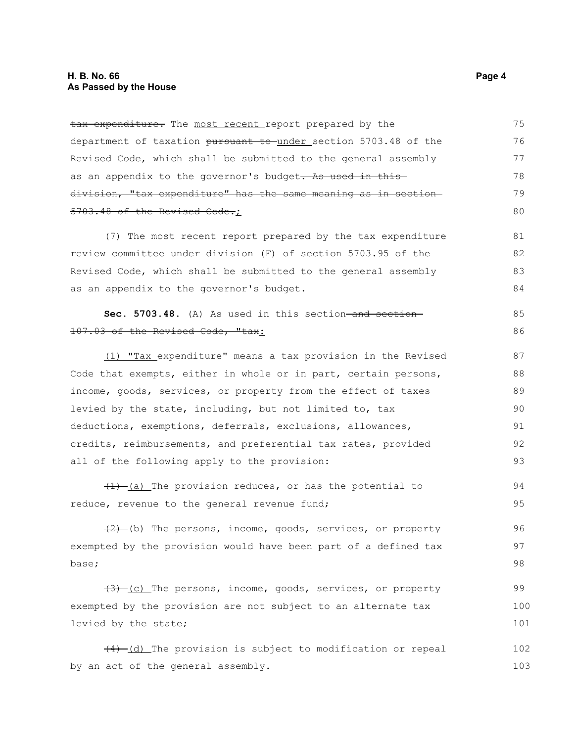tax expenditure. The most recent report prepared by the department of taxation pursuant to under section 5703.48 of the Revised Code, which shall be submitted to the general assembly as an appendix to the governor's budget. As used in this division, "tax expenditure" has the same meaning as in section 5703.48 of the Revised Code.; 75 76 77 78 79 80

(7) The most recent report prepared by the tax expenditure review committee under division (F) of section 5703.95 of the Revised Code, which shall be submitted to the general assembly as an appendix to the governor's budget.

Sec. 5703.48. (A) As used in this section-and section-107.03 of the Revised Code, "tax:

(1) "Tax expenditure" means a tax provision in the Revised Code that exempts, either in whole or in part, certain persons, income, goods, services, or property from the effect of taxes levied by the state, including, but not limited to, tax deductions, exemptions, deferrals, exclusions, allowances, credits, reimbursements, and preferential tax rates, provided all of the following apply to the provision: 87 88 89 90 91 92 93

 $(1)$  (a) The provision reduces, or has the potential to reduce, revenue to the general revenue fund; 94 95

 $(2)$  (b) The persons, income, goods, services, or property exempted by the provision would have been part of a defined tax base; 96 97 98

 $(3)$  (c) The persons, income, goods, services, or property exempted by the provision are not subject to an alternate tax levied by the state; 99 100 101

 $(4)$   $(d)$  The provision is subject to modification or repeal by an act of the general assembly. 102 103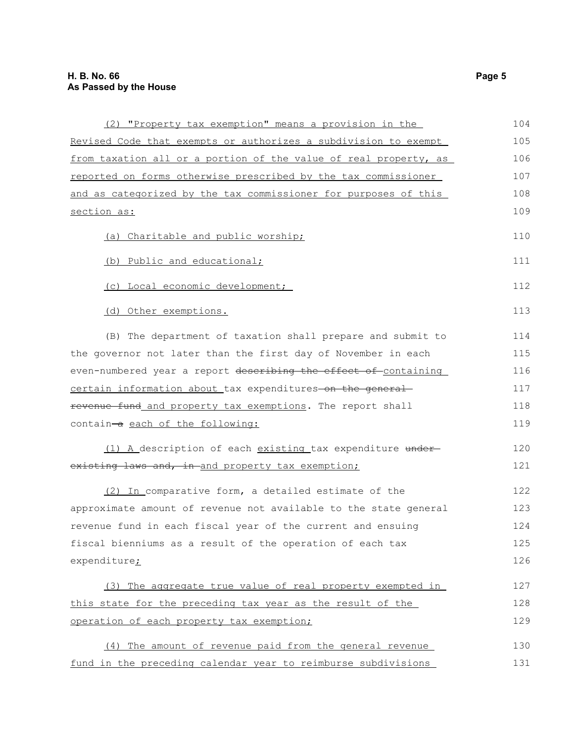| (2) "Property tax exemption" means a provision in the            | 104 |
|------------------------------------------------------------------|-----|
| Revised Code that exempts or authorizes a subdivision to exempt  | 105 |
| from taxation all or a portion of the value of real property, as | 106 |
| reported on forms otherwise prescribed by the tax commissioner   | 107 |
| and as categorized by the tax commissioner for purposes of this  | 108 |
| section as:                                                      | 109 |
| (a) Charitable and public worship;                               | 110 |
| (b) Public and educational;                                      | 111 |
| (c) Local economic development;                                  | 112 |
| (d) Other exemptions.                                            | 113 |
| (B) The department of taxation shall prepare and submit to       | 114 |
| the governor not later than the first day of November in each    | 115 |
| even-numbered year a report describing the effect of containing  | 116 |
| certain information about tax expenditures on the general        | 117 |
| revenue fund_and property tax exemptions. The report shall       | 118 |
| contain-a each of the following:                                 | 119 |
| (1) A description of each existing tax expenditure under-        | 120 |
| existing laws and, in and property tax exemption;                | 121 |
| (2) In comparative form, a detailed estimate of the              | 122 |
| approximate amount of revenue not available to the state general | 123 |
| revenue fund in each fiscal year of the current and ensuing      | 124 |
| fiscal bienniums as a result of the operation of each tax        | 125 |
| expenditure <sub>i</sub>                                         | 126 |
| (3) The aggregate true value of real property exempted in        | 127 |
| this state for the preceding tax year as the result of the       | 128 |
| operation of each property tax exemption;                        | 129 |
| (4) The amount of revenue paid from the general revenue          | 130 |
| fund in the preceding calendar year to reimburse subdivisions    | 131 |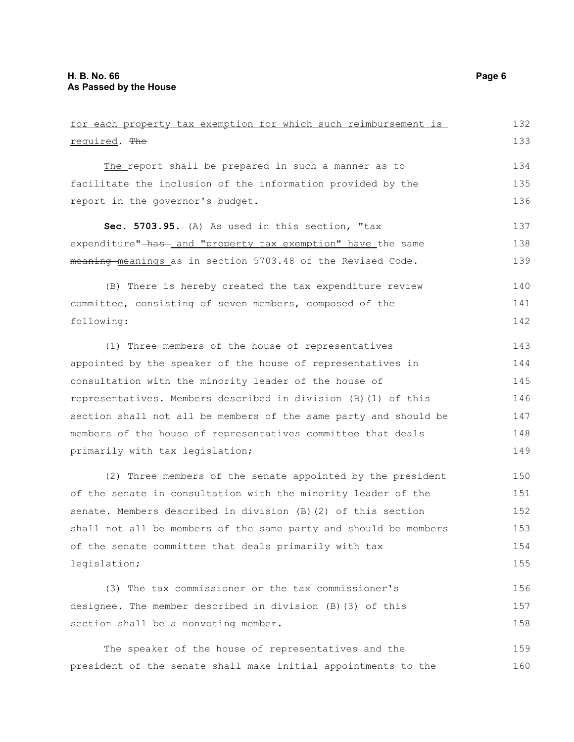| for each property tax exemption for which such reimbursement is  | 132 |
|------------------------------------------------------------------|-----|
| required. The                                                    | 133 |
| The report shall be prepared in such a manner as to              | 134 |
| facilitate the inclusion of the information provided by the      | 135 |
| report in the governor's budget.                                 | 136 |
| Sec. 5703.95. (A) As used in this section, "tax                  | 137 |
| expenditure"-has- and "property tax exemption" have the same     | 138 |
| meaning meanings as in section 5703.48 of the Revised Code.      | 139 |
| (B) There is hereby created the tax expenditure review           | 140 |
| committee, consisting of seven members, composed of the          | 141 |
| following:                                                       | 142 |
| (1) Three members of the house of representatives                | 143 |
| appointed by the speaker of the house of representatives in      | 144 |
| consultation with the minority leader of the house of            | 145 |
| representatives. Members described in division (B) (1) of this   | 146 |
| section shall not all be members of the same party and should be | 147 |
| members of the house of representatives committee that deals     | 148 |
| primarily with tax legislation;                                  | 149 |
| (2) Three members of the senate appointed by the president       | 150 |
| of the senate in consultation with the minority leader of the    | 151 |
| senate. Members described in division (B) (2) of this section    | 152 |
| shall not all be members of the same party and should be members | 153 |
| of the senate committee that deals primarily with tax            | 154 |
| legislation;                                                     | 155 |
| (3) The tax commissioner or the tax commissioner's               | 156 |
| designee. The member described in division (B) (3) of this       | 157 |
| section shall be a nonvoting member.                             | 158 |
| The speaker of the house of representatives and the              | 159 |

president of the senate shall make initial appointments to the 160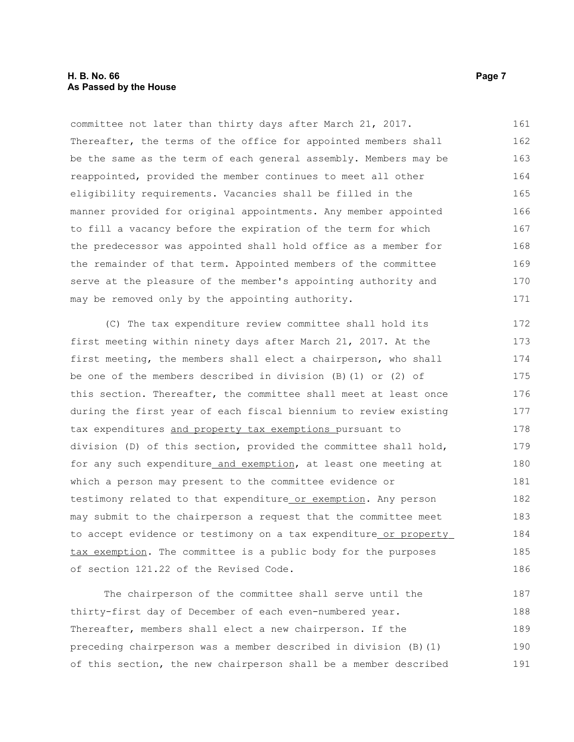#### **H. B. No. 66 Page 7 As Passed by the House**

committee not later than thirty days after March 21, 2017. Thereafter, the terms of the office for appointed members shall be the same as the term of each general assembly. Members may be reappointed, provided the member continues to meet all other eligibility requirements. Vacancies shall be filled in the manner provided for original appointments. Any member appointed to fill a vacancy before the expiration of the term for which the predecessor was appointed shall hold office as a member for the remainder of that term. Appointed members of the committee serve at the pleasure of the member's appointing authority and may be removed only by the appointing authority. 161 162 163 164 165 166 167 168 169 170 171

(C) The tax expenditure review committee shall hold its first meeting within ninety days after March 21, 2017. At the first meeting, the members shall elect a chairperson, who shall be one of the members described in division (B)(1) or (2) of this section. Thereafter, the committee shall meet at least once during the first year of each fiscal biennium to review existing tax expenditures and property tax exemptions pursuant to division (D) of this section, provided the committee shall hold, for any such expenditure and exemption, at least one meeting at which a person may present to the committee evidence or testimony related to that expenditure or exemption. Any person may submit to the chairperson a request that the committee meet to accept evidence or testimony on a tax expenditure or property tax exemption. The committee is a public body for the purposes of section 121.22 of the Revised Code. 172 173 174 175 176 177 178 179 180 181 182 183 184 185 186

The chairperson of the committee shall serve until the thirty-first day of December of each even-numbered year. Thereafter, members shall elect a new chairperson. If the preceding chairperson was a member described in division (B)(1) of this section, the new chairperson shall be a member described 187 188 189 190 191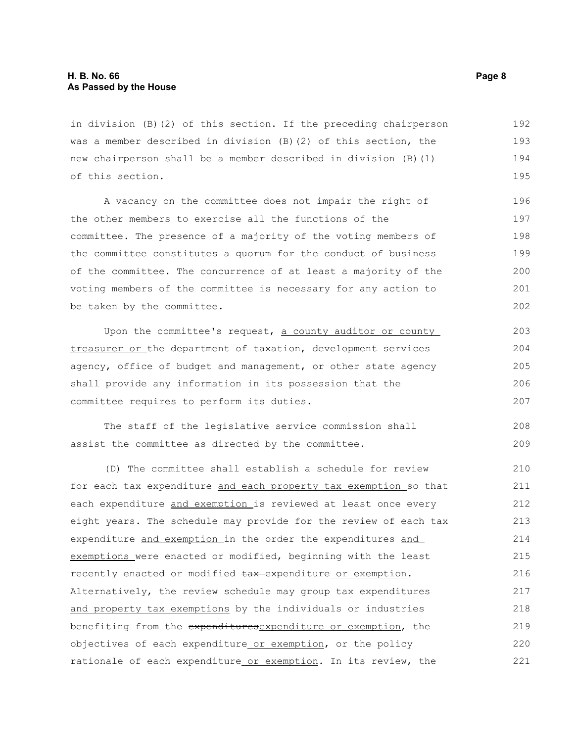in division (B)(2) of this section. If the preceding chairperson was a member described in division (B)(2) of this section, the new chairperson shall be a member described in division (B)(1) of this section. 192 193 194 195

A vacancy on the committee does not impair the right of the other members to exercise all the functions of the committee. The presence of a majority of the voting members of the committee constitutes a quorum for the conduct of business of the committee. The concurrence of at least a majority of the voting members of the committee is necessary for any action to be taken by the committee.

Upon the committee's request, a county auditor or county treasurer or the department of taxation, development services agency, office of budget and management, or other state agency shall provide any information in its possession that the committee requires to perform its duties.

The staff of the legislative service commission shall assist the committee as directed by the committee. 208 209

(D) The committee shall establish a schedule for review for each tax expenditure and each property tax exemption so that each expenditure and exemption is reviewed at least once every eight years. The schedule may provide for the review of each tax expenditure and exemption in the order the expenditures and exemptions were enacted or modified, beginning with the least recently enacted or modified  $\frac{1}{2}$  expenditure or exemption. Alternatively, the review schedule may group tax expenditures and property tax exemptions by the individuals or industries benefiting from the expendituresexpenditure or exemption, the objectives of each expenditure or exemption, or the policy rationale of each expenditure or exemption. In its review, the 210 211 212 213 214 215 216 217 218 219 220 221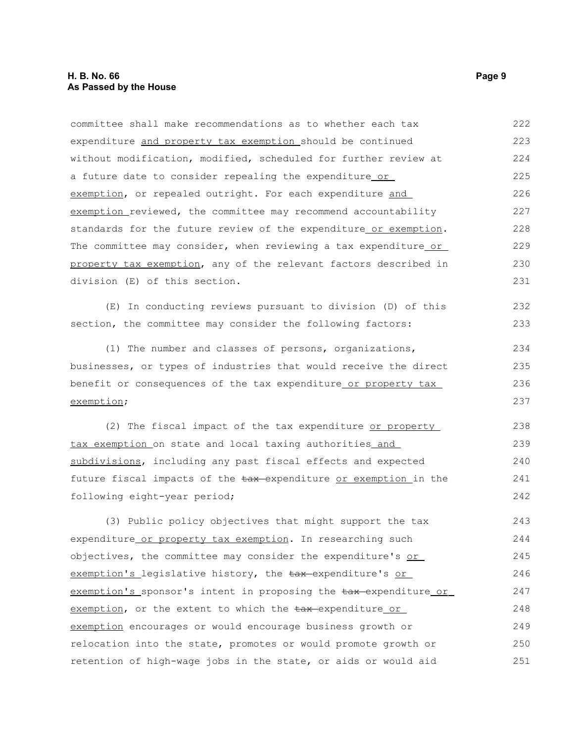committee shall make recommendations as to whether each tax expenditure and property tax exemption should be continued without modification, modified, scheduled for further review at a future date to consider repealing the expenditure or exemption, or repealed outright. For each expenditure and exemption reviewed, the committee may recommend accountability standards for the future review of the expenditure or exemption. The committee may consider, when reviewing a tax expenditure or property tax exemption, any of the relevant factors described in division (E) of this section. 222 223 224 225 226 227 228 229 230 231

(E) In conducting reviews pursuant to division (D) of this section, the committee may consider the following factors:

(1) The number and classes of persons, organizations, businesses, or types of industries that would receive the direct benefit or consequences of the tax expenditure or property tax exemption;

(2) The fiscal impact of the tax expenditure or property tax exemption on state and local taxing authorities and subdivisions, including any past fiscal effects and expected future fiscal impacts of the tax-expenditure or exemption in the following eight-year period; 238 239 240 241 242

(3) Public policy objectives that might support the tax expenditure or property tax exemption. In researching such objectives, the committee may consider the expenditure's  $or$ </u> exemption's legislative history, the tax-expenditure's or exemption's sponsor's intent in proposing the  $\frac{1}{2}$  expenditure or exemption, or the extent to which the  $\frac{1}{2}$  tax-expenditure or exemption encourages or would encourage business growth or relocation into the state, promotes or would promote growth or retention of high-wage jobs in the state, or aids or would aid 243 244 245 246 247 248 249 250 251

232 233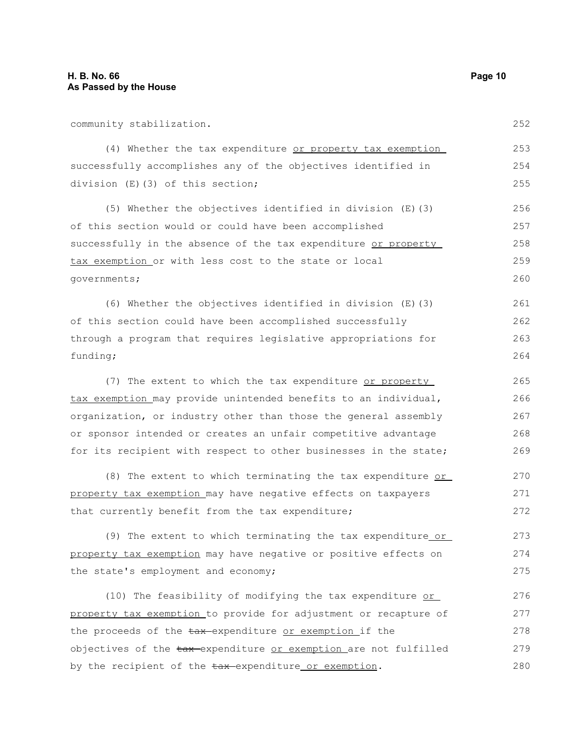community stabilization.

(4) Whether the tax expenditure or property tax exemption successfully accomplishes any of the objectives identified in division (E)(3) of this section; 254 255

(5) Whether the objectives identified in division (E)(3) of this section would or could have been accomplished successfully in the absence of the tax expenditure or property tax exemption or with less cost to the state or local governments; 256 257 258 259 260

(6) Whether the objectives identified in division (E)(3) of this section could have been accomplished successfully through a program that requires legislative appropriations for funding; 261 262 263 264

(7) The extent to which the tax expenditure or property tax exemption may provide unintended benefits to an individual, organization, or industry other than those the general assembly or sponsor intended or creates an unfair competitive advantage for its recipient with respect to other businesses in the state; 265 266 267 268 269

(8) The extent to which terminating the tax expenditure or property tax exemption may have negative effects on taxpayers that currently benefit from the tax expenditure; 270 271 272

(9) The extent to which terminating the tax expenditure or property tax exemption may have negative or positive effects on the state's employment and economy; 273 274 275

(10) The feasibility of modifying the tax expenditure or property tax exemption to provide for adjustment or recapture of the proceeds of the tax-expenditure or exemption if the objectives of the tax-expenditure or exemption are not fulfilled by the recipient of the  $\frac{1}{2}$  expenditure or exemption. 276 277 278 279 280

253